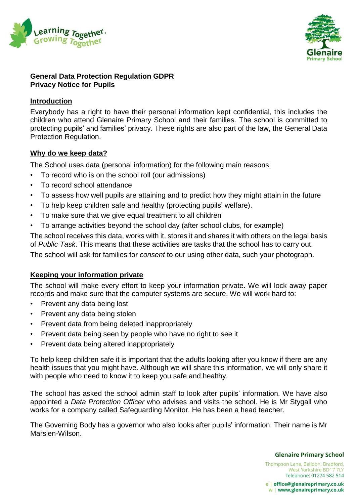



### **General Data Protection Regulation GDPR Privacy Notice for Pupils**

## **Introduction**

Everybody has a right to have their personal information kept confidential, this includes the children who attend Glenaire Primary School and their families. The school is committed to protecting pupils' and families' privacy. These rights are also part of the law, the General Data Protection Regulation.

## **Why do we keep data?**

The School uses data (personal information) for the following main reasons:

- To record who is on the school roll (our admissions)
- To record school attendance
- To assess how well pupils are attaining and to predict how they might attain in the future
- To help keep children safe and healthy (protecting pupils' welfare).
- To make sure that we give equal treatment to all children
- To arrange activities beyond the school day (after school clubs, for example)

The school receives this data, works with it, stores it and shares it with others on the legal basis of *Public Task*. This means that these activities are tasks that the school has to carry out.

The school will ask for families for *consent* to our using other data, such your photograph.

# **Keeping your information private**

The school will make every effort to keep your information private. We will lock away paper records and make sure that the computer systems are secure. We will work hard to:

- Prevent any data being lost
- Prevent any data being stolen
- Prevent data from being deleted inappropriately
- Prevent data being seen by people who have no right to see it
- Prevent data being altered inappropriately

To help keep children safe it is important that the adults looking after you know if there are any health issues that you might have. Although we will share this information, we will only share it with people who need to know it to keep you safe and healthy.

The school has asked the school admin staff to look after pupils' information. We have also appointed a *Data Protection Officer* who advises and visits the school. He is Mr Stygall who works for a company called Safeguarding Monitor. He has been a head teacher.

The Governing Body has a governor who also looks after pupils' information. Their name is Mr Marslen-Wilson.

**Glenaire Primary School** 

Thompson Lane, Baildon, Bradford, West Yorkshire BD17 7LY Telephone: 01274 582 514

e | office@glenaireprimary.co.uk w | www.glenaireprimary.co.uk